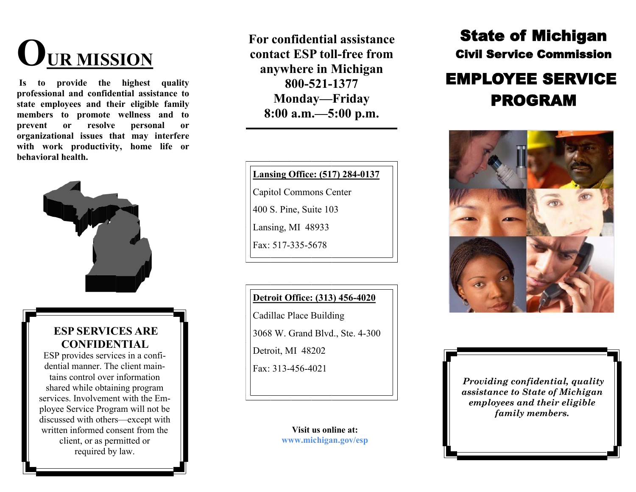# **OUR MISSION**

**Is to provide the highest quality professional and confidential assistance to state employees and their eligible family members to promote wellness and to prevent or resolve personal or organizational issues that may interfere with work productivity, home life or behavioral health.** 



### **ESP SERVICES ARE CONFIDENTIAL**

ESP provides services in a confidential manner. The client maintains control over information shared while obtaining program services. Involvement with the Employee Service Program will not be discussed with others—except with written informed consent from the client, or as permitted or required by law.

**For confidential assistance contact ESP toll-free from anywhere in Michigan 800-521-1377 Monday—Friday 8:00 a.m.—5:00 p.m.** 

**Lansing Office: (517) 284-0137**

Capitol Commons Center

400 S. Pine, Suite 103

Lansing, MI 48933

Fax: 517-335-5678

#### **Detroit Office: (313) 456-4020**

Cadillac Place Building

3068 W. Grand Blvd., Ste. 4-300

Detroit, MI 48202

Fax: 313-456-4021

**Visit us online at: www.michigan.gov/esp**

## State of Michigan Civil Service Commission

# EMPLOYEE SERVICE PROGRAM



*Providing confidential, quality assistance to State of Michigan employees and their eligible family members.*